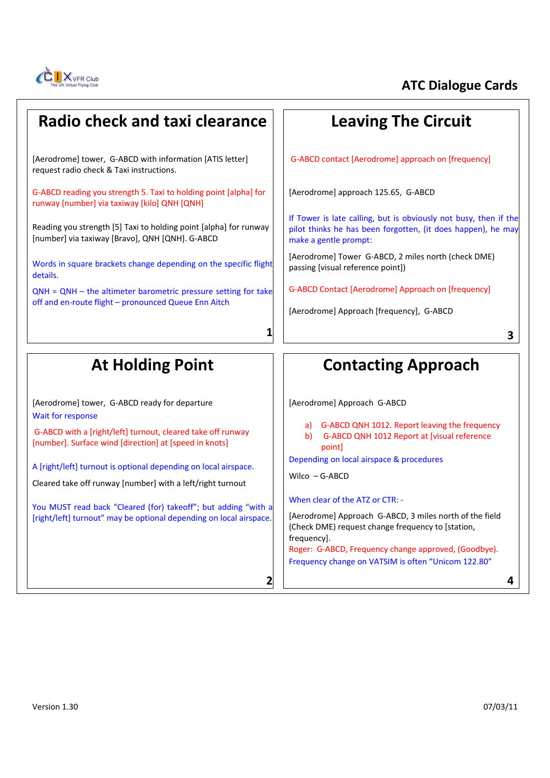

## **Radio check and taxi clearance**

[Aerodrome] tower, G-ABCD with information [ATIS letter] request radio check & Taxi instructions.

G‐ABCD reading you strength 5. Taxi to holding point [alpha] for runway [number] via taxiway [kilo] QNH [QNH]

Reading you strength [5] Taxi to holding point [alpha] for runway [number] via taxiway [Bravo], QNH [QNH]. G‐ABCD

Words in square brackets change depending on the specific flight details.

QNH = QNH – the altimeter barometric pressure setting for take off and en-route flight – pronounced Queue Enn Aitch

## **Leaving The Circuit**

G‐ABCD contact [Aerodrome] approach on [frequency]

[Aerodrome] approach 125.65, G‐ABCD

If Tower is late calling, but is obviously not busy, then if the pilot thinks he has been forgotten, (it does happen), he may make a gentle prompt:

[Aerodrome] Tower G‐ABCD, 2 miles north (check DME) passing [visual reference point])

G‐ABCD Contact [Aerodrome] Approach on [frequency]

[Aerodrome] Approach [frequency], G-ABCD

**3**

# **At Holding Point**

[Aerodrome] tower, G‐ABCD ready for departure Wait for response

G‐ABCD with a [right/left] turnout, cleared take off runway [number]. Surface wind [direction] at [speed in knots]

A [right/left] turnout is optional depending on local airspace.

Cleared take off runway [number] with a left/right turnout

You MUST read back "Cleared (for) takeoff"; but adding "with a [right/left] turnout" may be optional depending on local airspace.

# **Contacting Approach**

[Aerodrome] Approach G‐ABCD

- a) G‐ABCD QNH 1012. Report leaving the frequency b) G-ABCD QNH 1012 Report at [visual reference]
- point]

Depending on local airspace & procedures

Wilco – G‐ABCD

**1**

**2**

When clear of the ATZ or CTR: -

[Aerodrome] Approach G‐ABCD, 3 miles north of the field (Check DME) request change frequency to [station, frequency]. Roger: G‐ABCD, Frequency change approved, (Goodbye). Frequency change on VATSIM is often "Unicom 122.80"